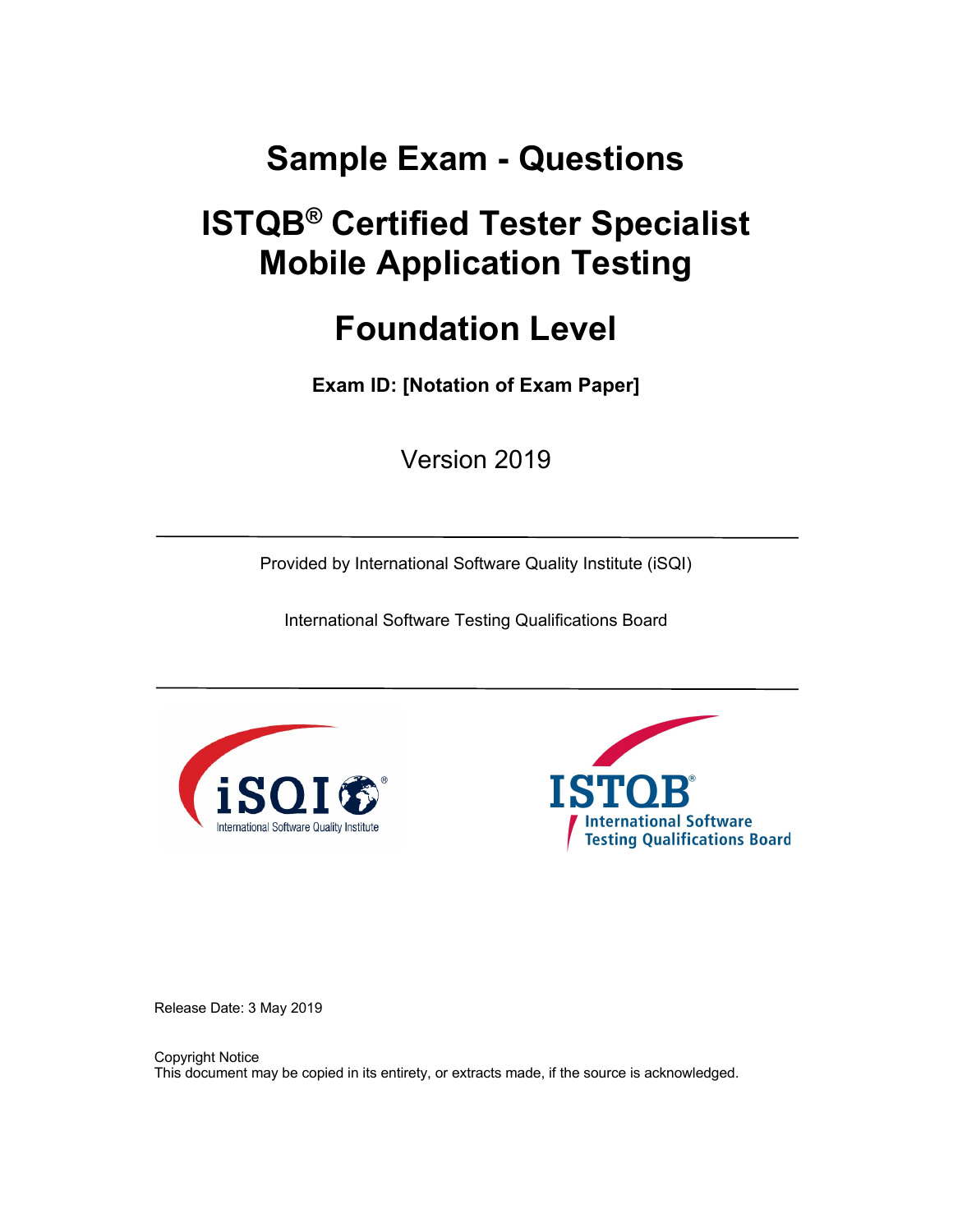# **Sample Exam - Questions**

# **ISTQB® Certified Tester Specialist Mobile Application Testing**

# **Foundation Level**

**Exam ID: [Notation of Exam Paper]**

Version 2019

Provided by International Software Quality Institute (iSQI)

International Software Testing Qualifications Board





Release Date: 3 May 2019

Copyright Notice This document may be copied in its entirety, or extracts made, if the source is acknowledged.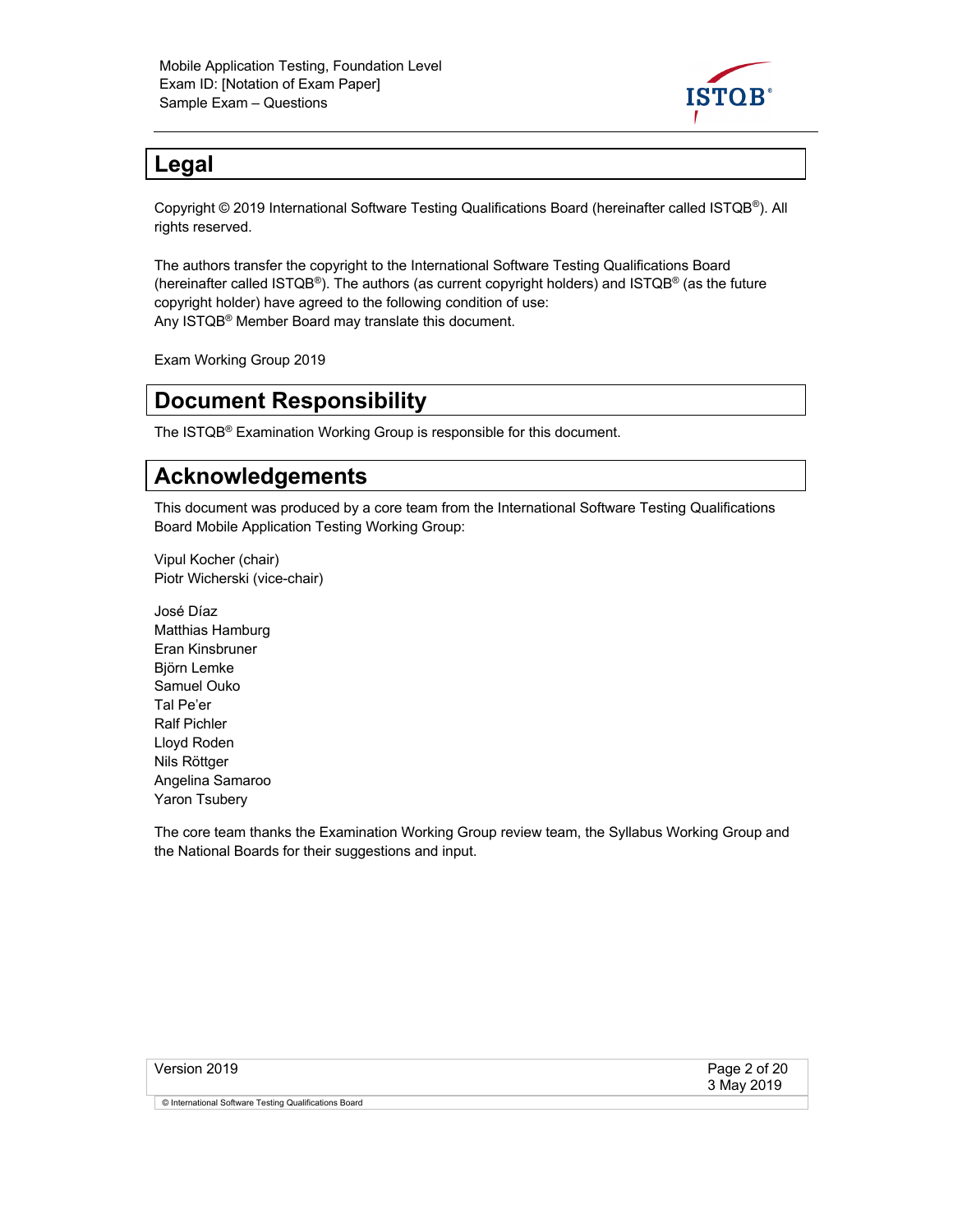

# **Legal**

Copyright © 2019 International Software Testing Qualifications Board (hereinafter called ISTQB®). All rights reserved.

The authors transfer the copyright to the International Software Testing Qualifications Board (hereinafter called ISTQB®). The authors (as current copyright holders) and ISTQB® (as the future copyright holder) have agreed to the following condition of use: Any ISTQB® Member Board may translate this document.

Exam Working Group 2019

# **Document Responsibility**

The ISTQB® Examination Working Group is responsible for this document.

# **Acknowledgements**

This document was produced by a core team from the International Software Testing Qualifications Board Mobile Application Testing Working Group:

Vipul Kocher (chair) Piotr Wicherski (vice-chair)

José Díaz Matthias Hamburg Eran Kinsbruner Björn Lemke Samuel Ouko Tal Pe'er Ralf Pichler Lloyd Roden Nils Röttger Angelina Samaroo Yaron Tsubery

The core team thanks the Examination Working Group review team, the Syllabus Working Group and the National Boards for their suggestions and input.

| Version 2019                                          | Page 2 of 20<br>3 May 2019 |
|-------------------------------------------------------|----------------------------|
| © International Software Testing Qualifications Board |                            |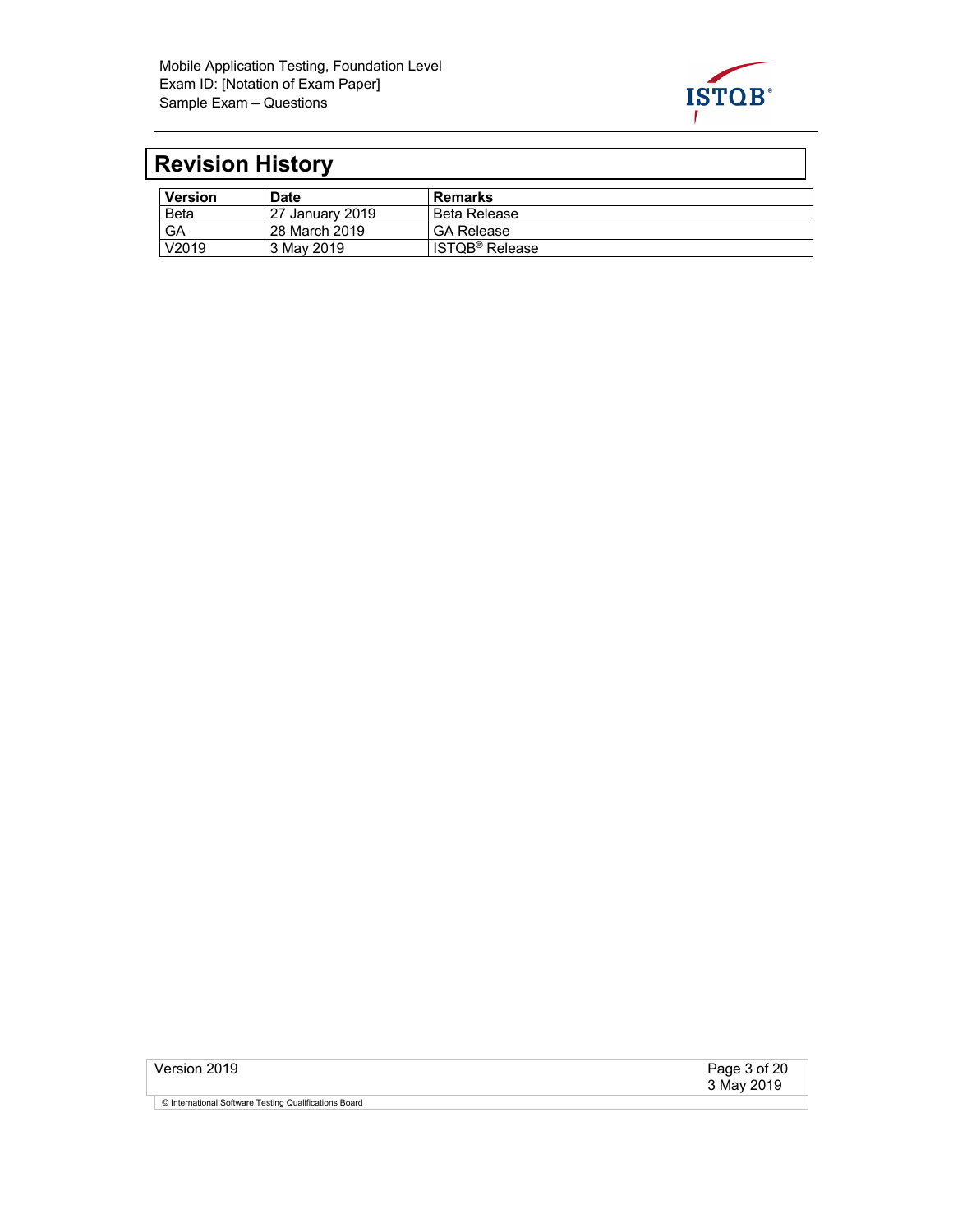

# **Revision History**

| <b>Version</b> | Date            | <b>Remarks</b>             |
|----------------|-----------------|----------------------------|
| <b>Beta</b>    | 27 January 2019 | Beta Release               |
| GA             | 28 March 2019   | <b>GA Release</b>          |
| V2019          | 3 May 2019      | ISTQB <sup>®</sup> Release |

| Version 2019                                          | Page 3 of 20<br>3 May 2019 |
|-------------------------------------------------------|----------------------------|
| © International Software Testing Qualifications Board |                            |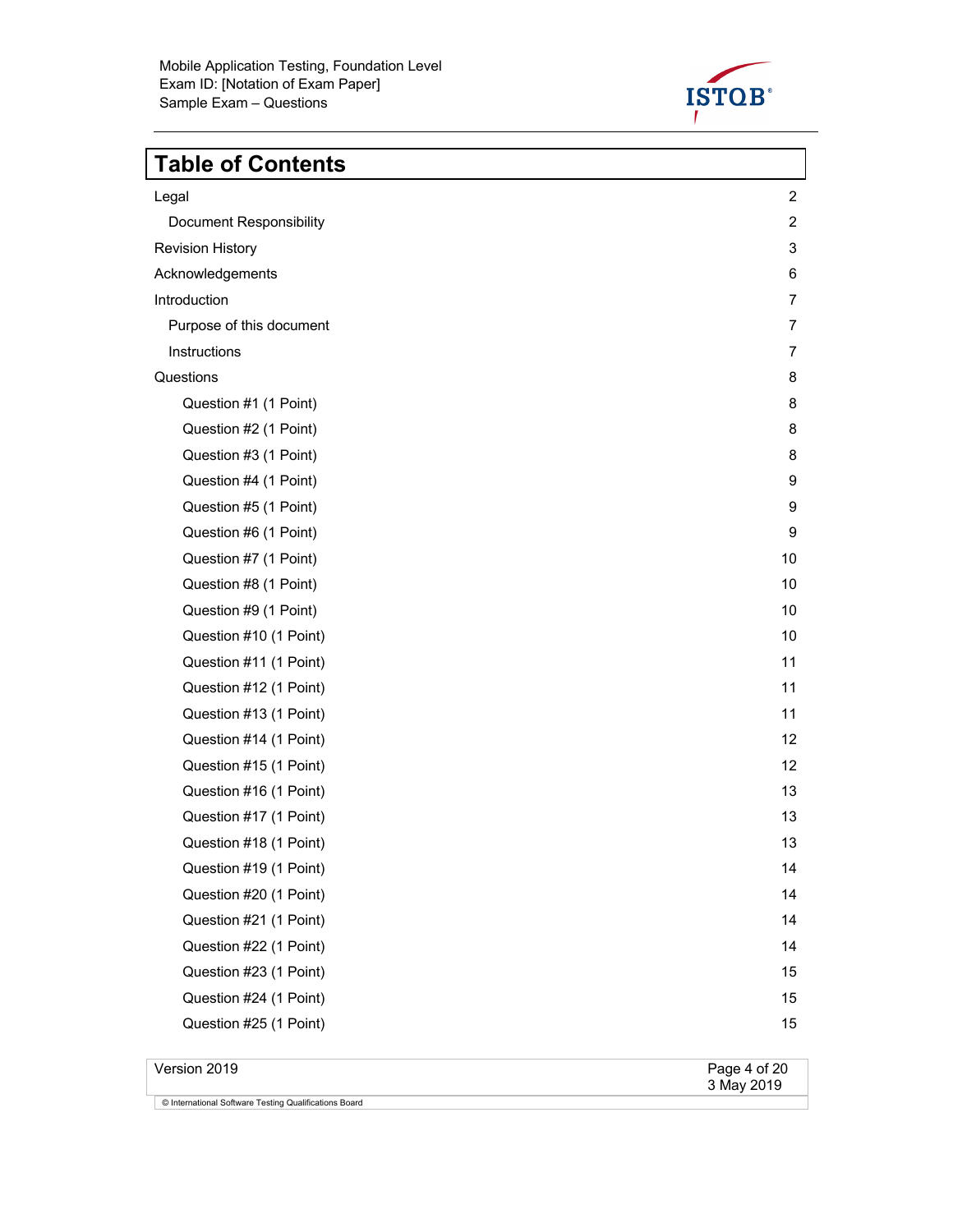

# **Table of Contents**

| Legal                          | $\overline{c}$ |
|--------------------------------|----------------|
| <b>Document Responsibility</b> | $\overline{c}$ |
| <b>Revision History</b>        | $\sqrt{3}$     |
| Acknowledgements               | 6              |
| Introduction                   | $\overline{7}$ |
| Purpose of this document       | $\overline{7}$ |
| Instructions                   | $\overline{7}$ |
| Questions                      | 8              |
| Question #1 (1 Point)          | 8              |
| Question #2 (1 Point)          | 8              |
| Question #3 (1 Point)          | 8              |
| Question #4 (1 Point)          | 9              |
| Question #5 (1 Point)          | 9              |
| Question #6 (1 Point)          | 9              |
| Question #7 (1 Point)          | 10             |
| Question #8 (1 Point)          | 10             |
| Question #9 (1 Point)          | 10             |
| Question #10 (1 Point)         | 10             |
| Question #11 (1 Point)         | 11             |
| Question #12 (1 Point)         | 11             |
| Question #13 (1 Point)         | 11             |
| Question #14 (1 Point)         | 12             |
| Question #15 (1 Point)         | 12             |
| Question #16 (1 Point)         | 13             |
| Question #17 (1 Point)         | 13             |
| Question #18 (1 Point)         | 13             |
| Question #19 (1 Point)         | 14             |
| Question #20 (1 Point)         | 14             |
| Question #21 (1 Point)         | 14             |
| Question #22 (1 Point)         | 14             |
| Question #23 (1 Point)         | 15             |
| Question #24 (1 Point)         | 15             |
| Question #25 (1 Point)         | 15             |
|                                |                |

Version 2019 Page 4 of 20<br>3 May 2019 © International Software Testing Qualifications Board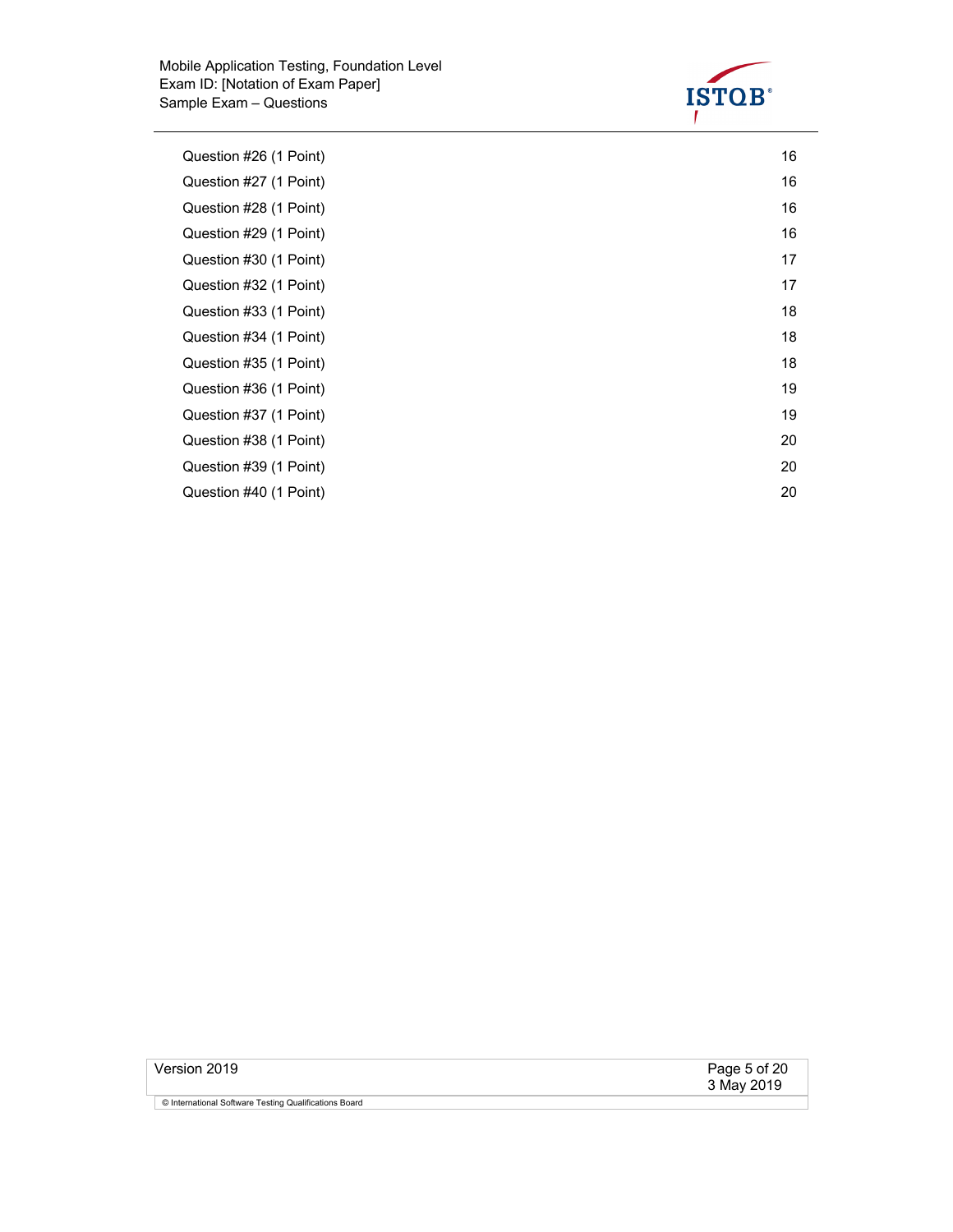

| Question #26 (1 Point) | 16 |
|------------------------|----|
| Question #27 (1 Point) | 16 |
| Question #28 (1 Point) | 16 |
| Question #29 (1 Point) | 16 |
| Question #30 (1 Point) | 17 |
| Question #32 (1 Point) | 17 |
| Question #33 (1 Point) | 18 |
| Question #34 (1 Point) | 18 |
| Question #35 (1 Point) | 18 |
| Question #36 (1 Point) | 19 |
| Question #37 (1 Point) | 19 |
| Question #38 (1 Point) | 20 |
| Question #39 (1 Point) | 20 |
| Question #40 (1 Point) | 20 |

| Version 2019                                          | Page 5 of 20<br>3 May 2019 |
|-------------------------------------------------------|----------------------------|
| © International Software Testing Qualifications Board |                            |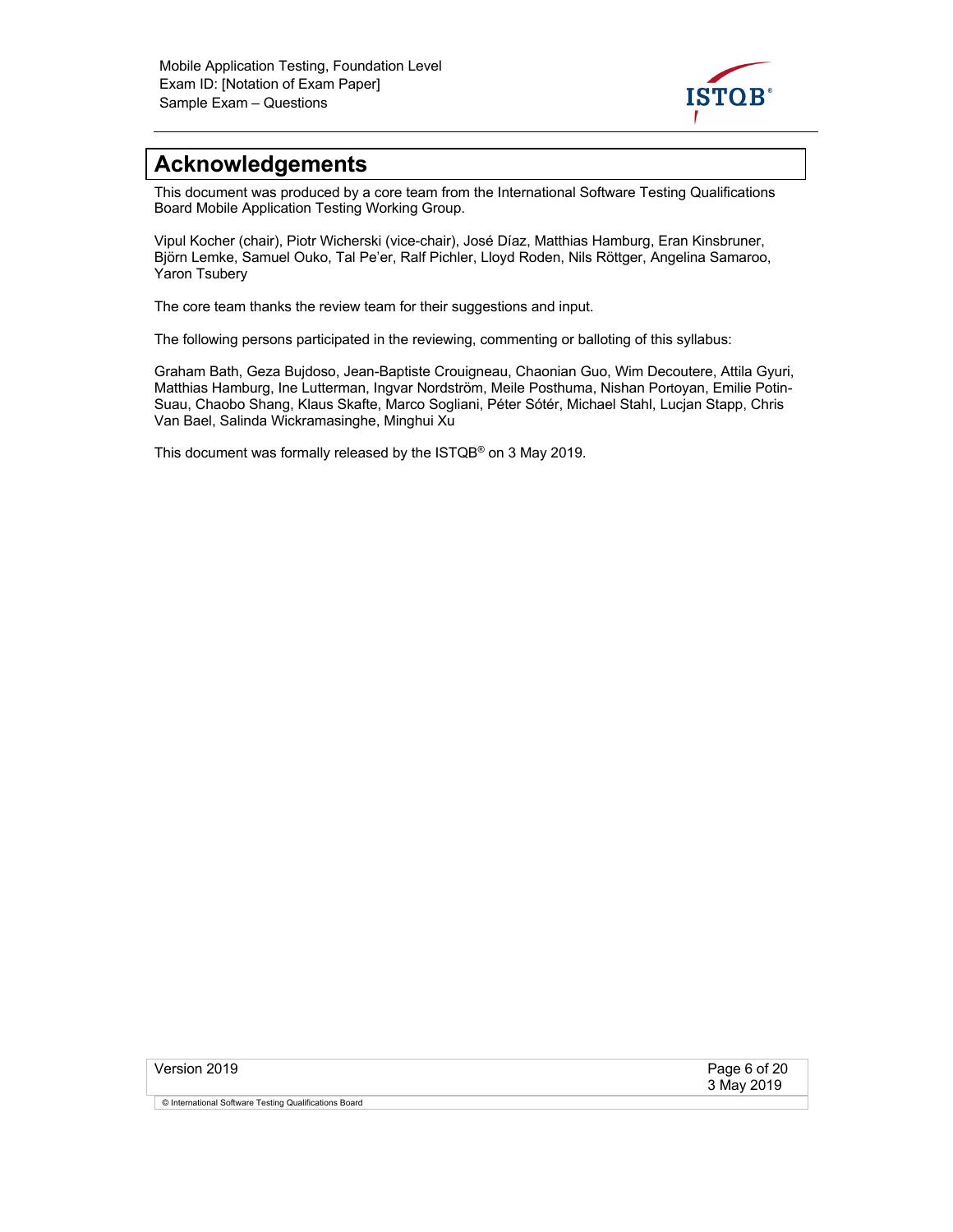

# **Acknowledgements**

This document was produced by a core team from the International Software Testing Qualifications Board Mobile Application Testing Working Group.

Vipul Kocher (chair), Piotr Wicherski (vice-chair), José Díaz, Matthias Hamburg, Eran Kinsbruner, Björn Lemke, Samuel Ouko, Tal Pe'er, Ralf Pichler, Lloyd Roden, Nils Röttger, Angelina Samaroo, Yaron Tsubery

The core team thanks the review team for their suggestions and input.

The following persons participated in the reviewing, commenting or balloting of this syllabus:

Graham Bath, Geza Bujdoso, Jean-Baptiste Crouigneau, Chaonian Guo, Wim Decoutere, Attila Gyuri, Matthias Hamburg, Ine Lutterman, Ingvar Nordström, Meile Posthuma, Nishan Portoyan, Emilie Potin-Suau, Chaobo Shang, Klaus Skafte, Marco Sogliani, Péter Sótér, Michael Stahl, Lucjan Stapp, Chris Van Bael, Salinda Wickramasinghe, Minghui Xu

This document was formally released by the ISTQB® on 3 May 2019.

| Version 2019                                          | Page 6 of 20<br>3 May 2019 |
|-------------------------------------------------------|----------------------------|
| © International Software Testing Qualifications Board |                            |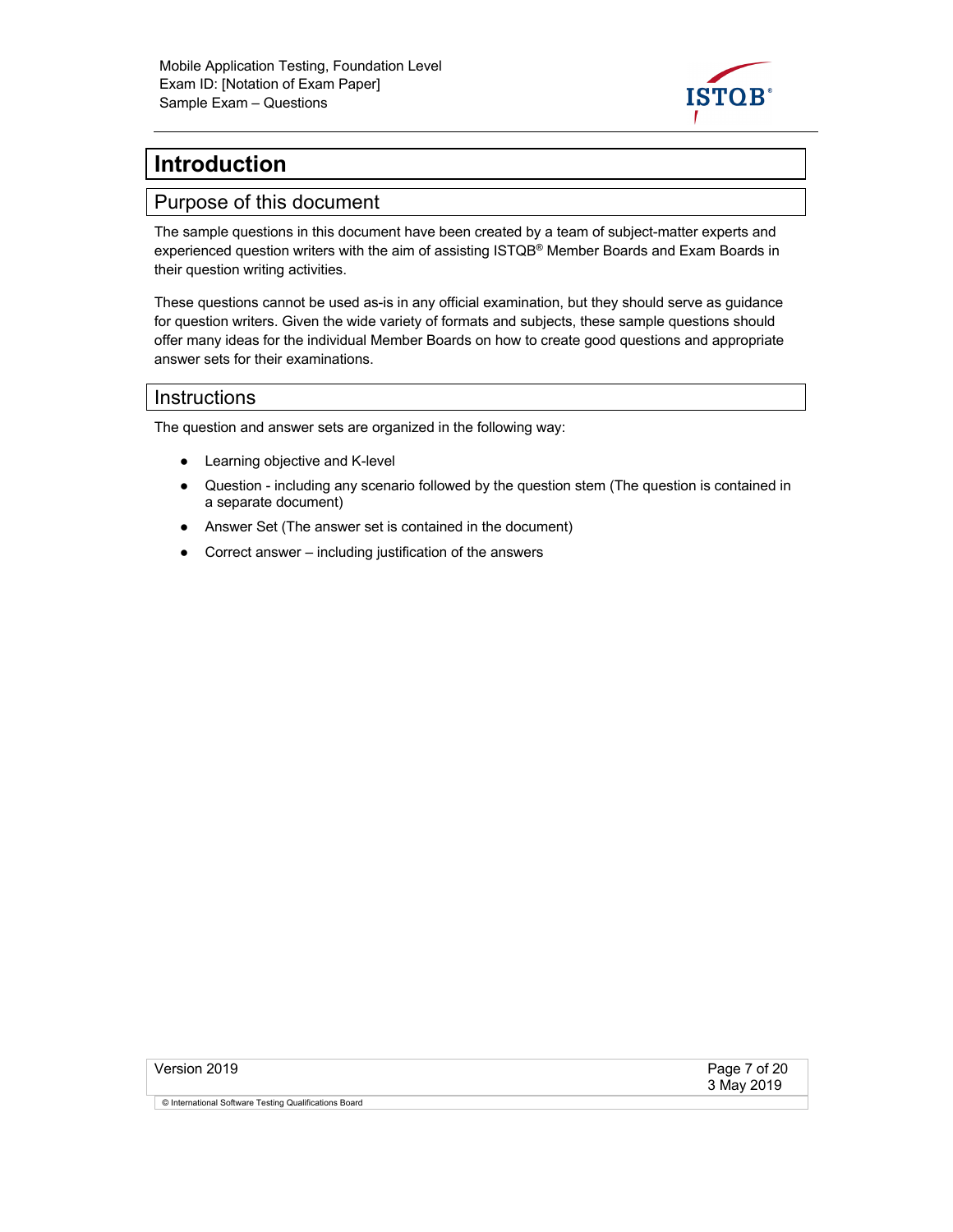

# **Introduction**

#### Purpose of this document

The sample questions in this document have been created by a team of subject-matter experts and experienced question writers with the aim of assisting ISTQB<sup>®</sup> Member Boards and Exam Boards in their question writing activities.

These questions cannot be used as-is in any official examination, but they should serve as guidance for question writers. Given the wide variety of formats and subjects, these sample questions should offer many ideas for the individual Member Boards on how to create good questions and appropriate answer sets for their examinations.

#### **Instructions**

The question and answer sets are organized in the following way:

- Learning objective and K-level
- Question including any scenario followed by the question stem (The question is contained in a separate document)
- Answer Set (The answer set is contained in the document)
- Correct answer including justification of the answers

| Version 2019                                          | Page 7 of 20<br>3 May 2019 |
|-------------------------------------------------------|----------------------------|
| © International Software Testing Qualifications Board |                            |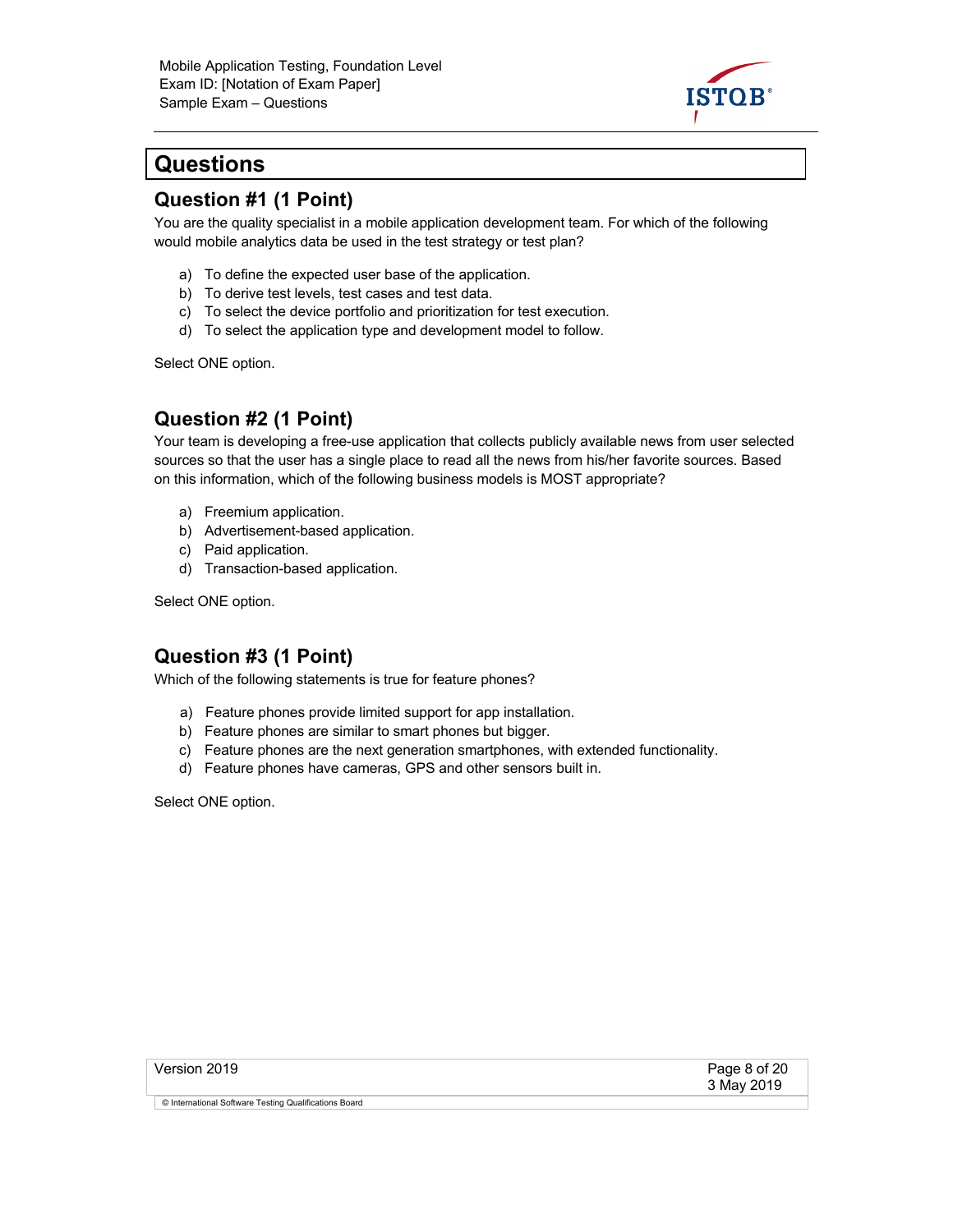

# **Questions**

#### **Question #1 (1 Point)**

You are the quality specialist in a mobile application development team. For which of the following would mobile analytics data be used in the test strategy or test plan?

- a) To define the expected user base of the application.
- b) To derive test levels, test cases and test data.
- c) To select the device portfolio and prioritization for test execution.
- d) To select the application type and development model to follow.

Select ONE option.

#### **Question #2 (1 Point)**

Your team is developing a free-use application that collects publicly available news from user selected sources so that the user has a single place to read all the news from his/her favorite sources. Based on this information, which of the following business models is MOST appropriate?

- a) Freemium application.
- b) Advertisement-based application.
- c) Paid application.
- d) Transaction-based application.

Select ONE option.

#### **Question #3 (1 Point)**

Which of the following statements is true for feature phones?

- a) Feature phones provide limited support for app installation.
- b) Feature phones are similar to smart phones but bigger.
- c) Feature phones are the next generation smartphones, with extended functionality.
- d) Feature phones have cameras, GPS and other sensors built in.

| Version 2019                                          | Page 8 of 20<br>3 May 2019 |
|-------------------------------------------------------|----------------------------|
| © International Software Testing Qualifications Board |                            |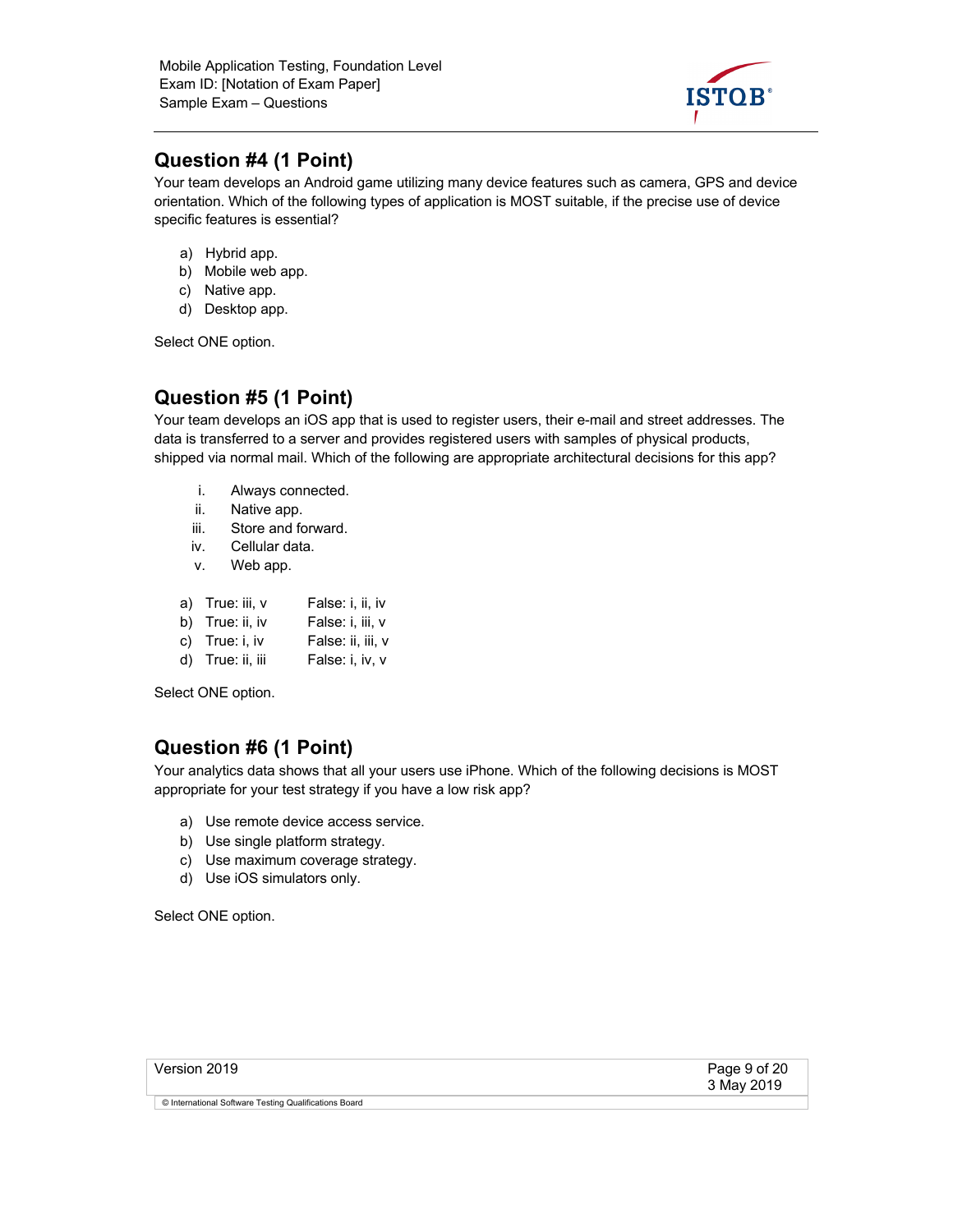

## **Question #4 (1 Point)**

Your team develops an Android game utilizing many device features such as camera, GPS and device orientation. Which of the following types of application is MOST suitable, if the precise use of device specific features is essential?

- a) Hybrid app.
- b) Mobile web app.
- c) Native app.
- d) Desktop app.

Select ONE option.

## **Question #5 (1 Point)**

Your team develops an iOS app that is used to register users, their e-mail and street addresses. The data is transferred to a server and provides registered users with samples of physical products, shipped via normal mail. Which of the following are appropriate architectural decisions for this app?

- i. Always connected.
- ii. Native app.
- iii. Store and forward.
- iv. Cellular data.
- v. Web app.

| a) True: iii, v | False: i, ii, iv |
|-----------------|------------------|
|                 |                  |

- b) True: ii, iv False: i, iii, v
- c) True: i, iv False: ii, iii, v
- d) True: ii, iii False: i, iv, v

Select ONE option.

# **Question #6 (1 Point)**

Your analytics data shows that all your users use iPhone. Which of the following decisions is MOST appropriate for your test strategy if you have a low risk app?

- a) Use remote device access service.
- b) Use single platform strategy.
- c) Use maximum coverage strategy.
- d) Use iOS simulators only.

| Version 2019                                          | Page 9 of 20<br>3 May 2019 |
|-------------------------------------------------------|----------------------------|
| © International Software Testing Qualifications Board |                            |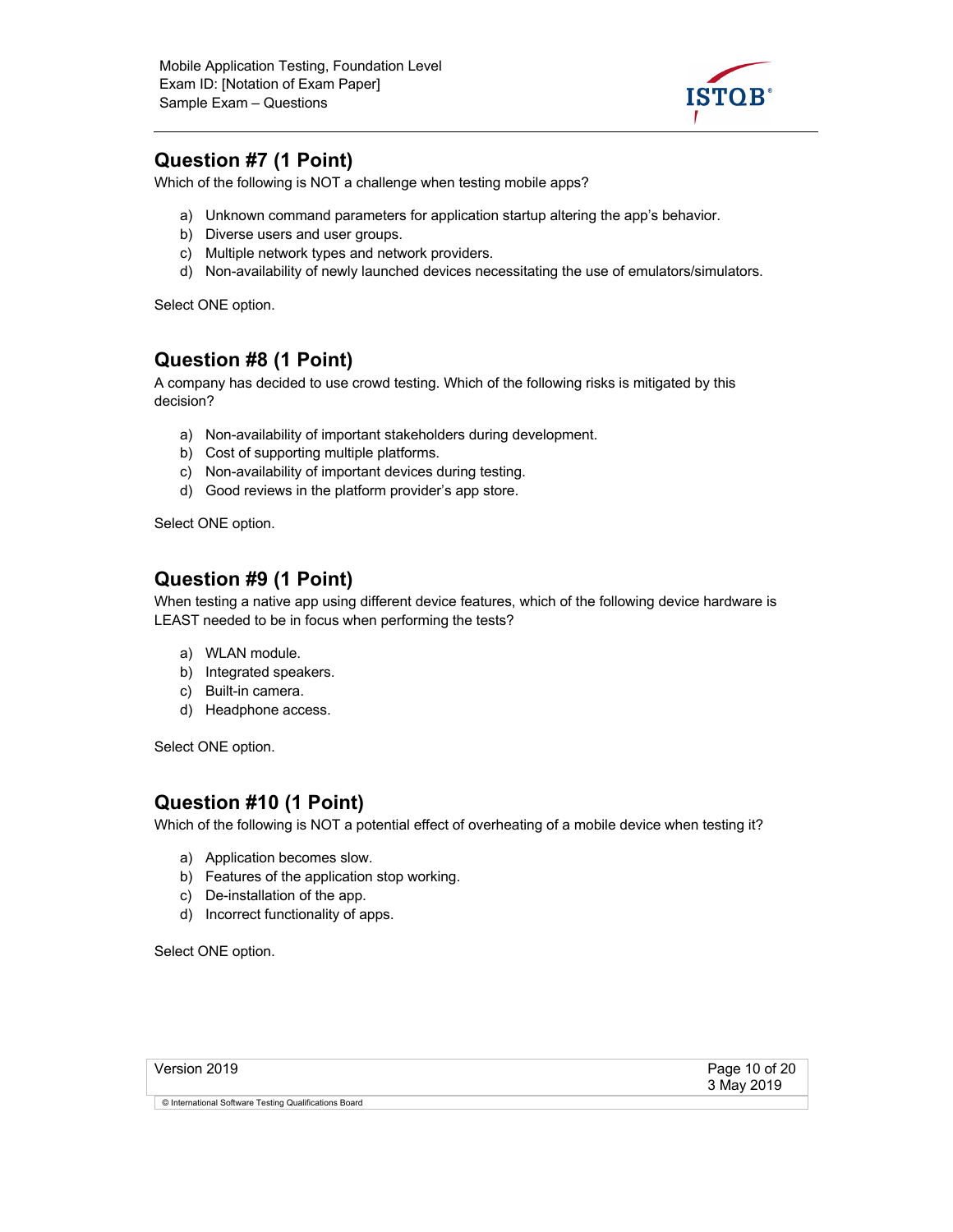

## **Question #7 (1 Point)**

Which of the following is NOT a challenge when testing mobile apps?

- a) Unknown command parameters for application startup altering the app's behavior.
- b) Diverse users and user groups.
- c) Multiple network types and network providers.
- d) Non-availability of newly launched devices necessitating the use of emulators/simulators.

Select ONE option.

#### **Question #8 (1 Point)**

A company has decided to use crowd testing. Which of the following risks is mitigated by this decision?

- a) Non-availability of important stakeholders during development.
- b) Cost of supporting multiple platforms.
- c) Non-availability of important devices during testing.
- d) Good reviews in the platform provider's app store.

Select ONE option.

#### **Question #9 (1 Point)**

When testing a native app using different device features, which of the following device hardware is LEAST needed to be in focus when performing the tests?

- a) WLAN module.
- b) Integrated speakers.
- c) Built-in camera.
- d) Headphone access.

Select ONE option.

#### **Question #10 (1 Point)**

Which of the following is NOT a potential effect of overheating of a mobile device when testing it?

- a) Application becomes slow.
- b) Features of the application stop working.
- c) De-installation of the app.
- d) Incorrect functionality of apps.

| Version 2019                                          | Page 10 of 20<br>3 May 2019 |
|-------------------------------------------------------|-----------------------------|
| © International Software Testing Qualifications Board |                             |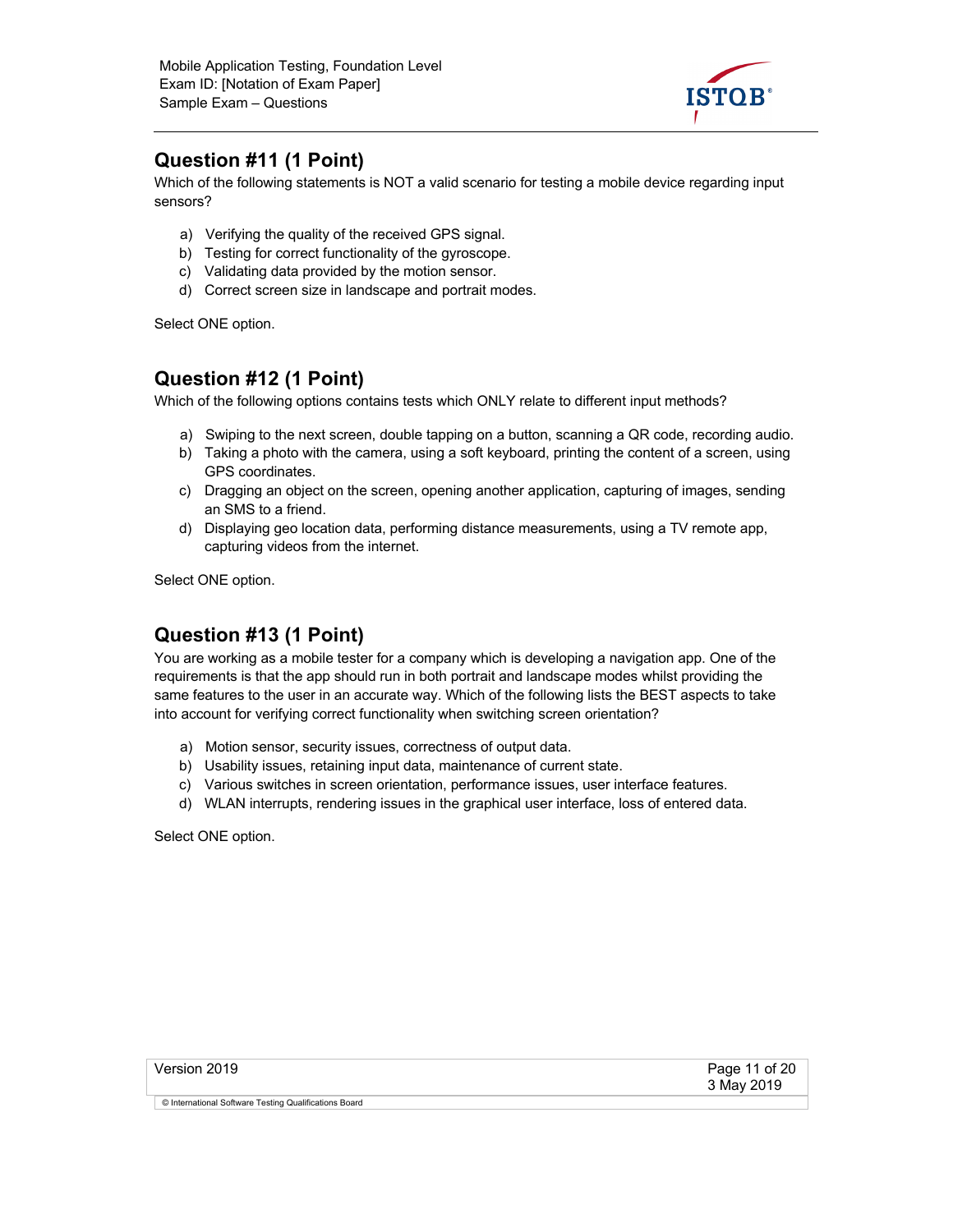

#### **Question #11 (1 Point)**

Which of the following statements is NOT a valid scenario for testing a mobile device regarding input sensors?

- a) Verifying the quality of the received GPS signal.
- b) Testing for correct functionality of the gyroscope.
- c) Validating data provided by the motion sensor.
- d) Correct screen size in landscape and portrait modes.

Select ONE option.

#### **Question #12 (1 Point)**

Which of the following options contains tests which ONLY relate to different input methods?

- a) Swiping to the next screen, double tapping on a button, scanning a QR code, recording audio.
- b) Taking a photo with the camera, using a soft keyboard, printing the content of a screen, using GPS coordinates.
- c) Dragging an object on the screen, opening another application, capturing of images, sending an SMS to a friend.
- d) Displaying geo location data, performing distance measurements, using a TV remote app, capturing videos from the internet.

Select ONE option.

# **Question #13 (1 Point)**

You are working as a mobile tester for a company which is developing a navigation app. One of the requirements is that the app should run in both portrait and landscape modes whilst providing the same features to the user in an accurate way. Which of the following lists the BEST aspects to take into account for verifying correct functionality when switching screen orientation?

- a) Motion sensor, security issues, correctness of output data.
- b) Usability issues, retaining input data, maintenance of current state.
- c) Various switches in screen orientation, performance issues, user interface features.
- d) WLAN interrupts, rendering issues in the graphical user interface, loss of entered data.

| Version 2019                                          | Page 11 of 20<br>3 May 2019 |
|-------------------------------------------------------|-----------------------------|
| © International Software Testing Qualifications Board |                             |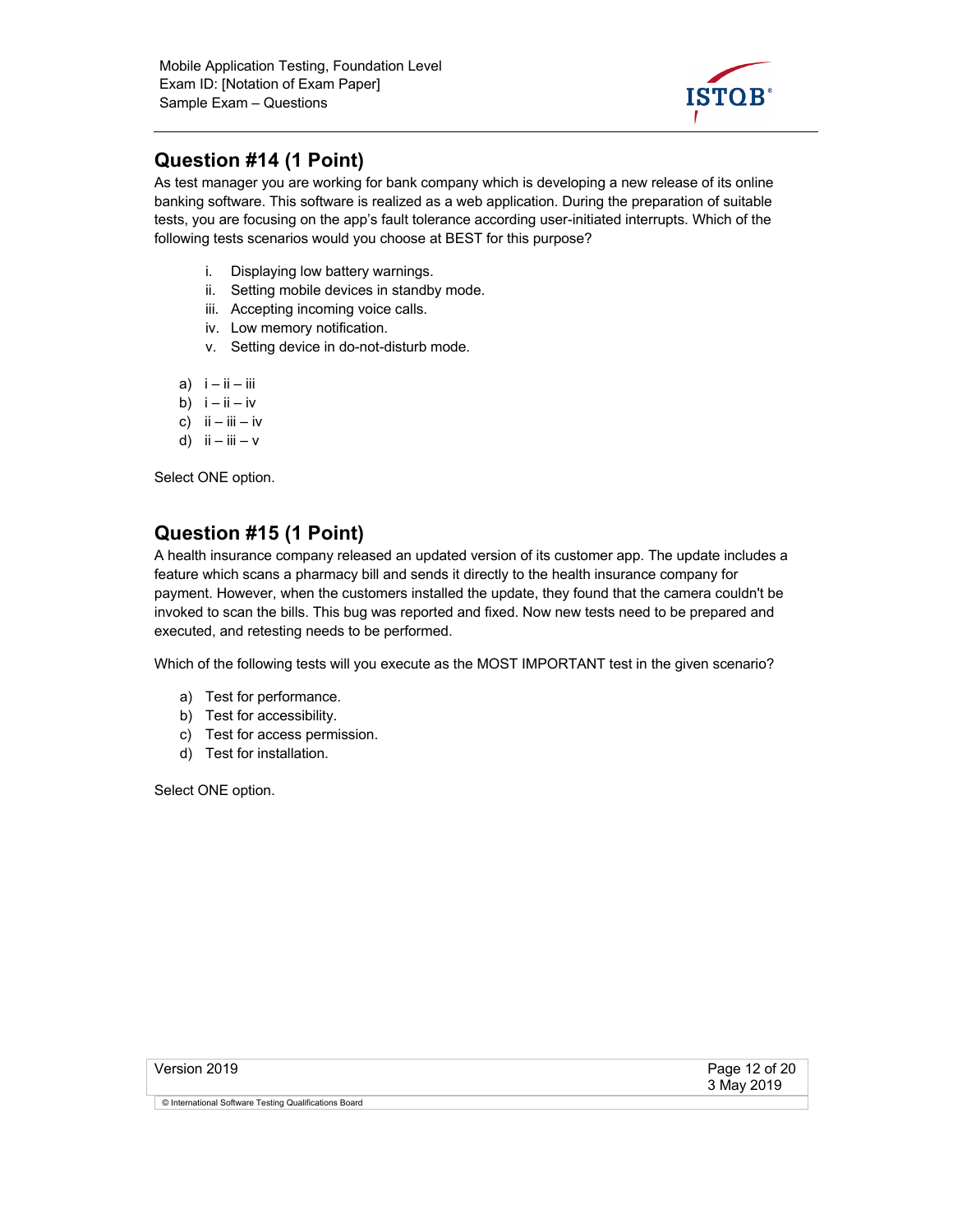

## **Question #14 (1 Point)**

As test manager you are working for bank company which is developing a new release of its online banking software. This software is realized as a web application. During the preparation of suitable tests, you are focusing on the app's fault tolerance according user-initiated interrupts. Which of the following tests scenarios would you choose at BEST for this purpose?

- i. Displaying low battery warnings.
- ii. Setting mobile devices in standby mode.
- iii. Accepting incoming voice calls.
- iv. Low memory notification.
- v. Setting device in do-not-disturb mode.
- a)  $i ii iii$
- b)  $i ii iv$
- c)  $\mathsf{ii} \mathsf{iii} \mathsf{iv}$
- d)  $ii iii v$

Select ONE option.

#### **Question #15 (1 Point)**

A health insurance company released an updated version of its customer app. The update includes a feature which scans a pharmacy bill and sends it directly to the health insurance company for payment. However, when the customers installed the update, they found that the camera couldn't be invoked to scan the bills. This bug was reported and fixed. Now new tests need to be prepared and executed, and retesting needs to be performed.

Which of the following tests will you execute as the MOST IMPORTANT test in the given scenario?

- a) Test for performance.
- b) Test for accessibility.
- c) Test for access permission.
- d) Test for installation.

| Version 2019                                          | Page 12 of 20<br>3 May 2019 |
|-------------------------------------------------------|-----------------------------|
| © International Software Testing Qualifications Board |                             |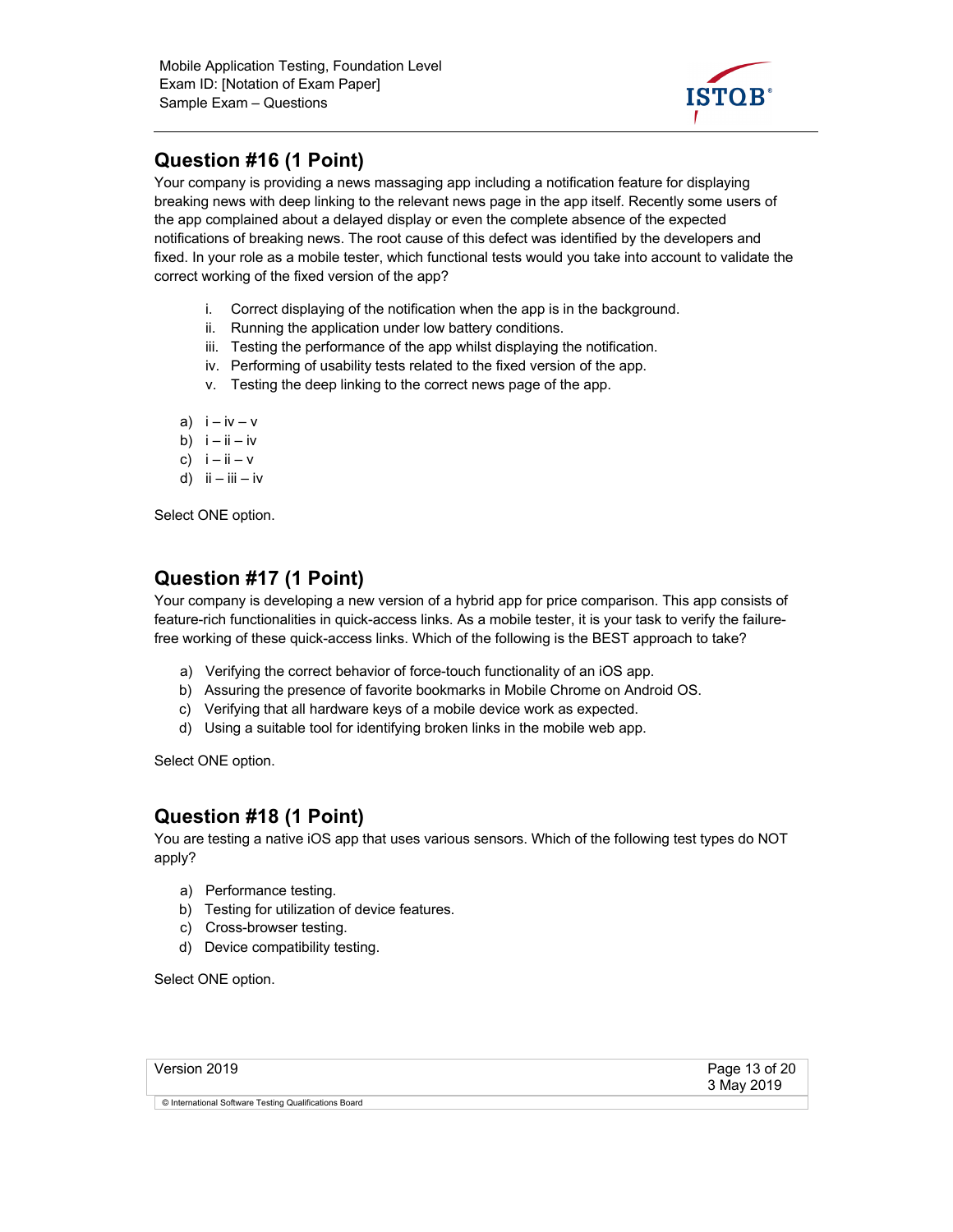

# **Question #16 (1 Point)**

Your company is providing a news massaging app including a notification feature for displaying breaking news with deep linking to the relevant news page in the app itself. Recently some users of the app complained about a delayed display or even the complete absence of the expected notifications of breaking news. The root cause of this defect was identified by the developers and fixed. In your role as a mobile tester, which functional tests would you take into account to validate the correct working of the fixed version of the app?

- i. Correct displaying of the notification when the app is in the background.
- ii. Running the application under low battery conditions.
- iii. Testing the performance of the app whilst displaying the notification.
- iv. Performing of usability tests related to the fixed version of the app.
- v. Testing the deep linking to the correct news page of the app.
- a)  $i iv v$
- b)  $i ii iv$
- c)  $i ii v$
- d)  $ii iii iv$

Select ONE option.

## **Question #17 (1 Point)**

Your company is developing a new version of a hybrid app for price comparison. This app consists of feature-rich functionalities in quick-access links. As a mobile tester, it is your task to verify the failurefree working of these quick-access links. Which of the following is the BEST approach to take?

- a) Verifying the correct behavior of force-touch functionality of an iOS app.
- b) Assuring the presence of favorite bookmarks in Mobile Chrome on Android OS.
- c) Verifying that all hardware keys of a mobile device work as expected.
- d) Using a suitable tool for identifying broken links in the mobile web app.

Select ONE option.

#### **Question #18 (1 Point)**

You are testing a native iOS app that uses various sensors. Which of the following test types do NOT apply?

- a) Performance testing.
- b) Testing for utilization of device features.
- c) Cross-browser testing.
- d) Device compatibility testing.

| Version 2019                                          | Page 13 of 20<br>3 May 2019 |
|-------------------------------------------------------|-----------------------------|
| © International Software Testing Qualifications Board |                             |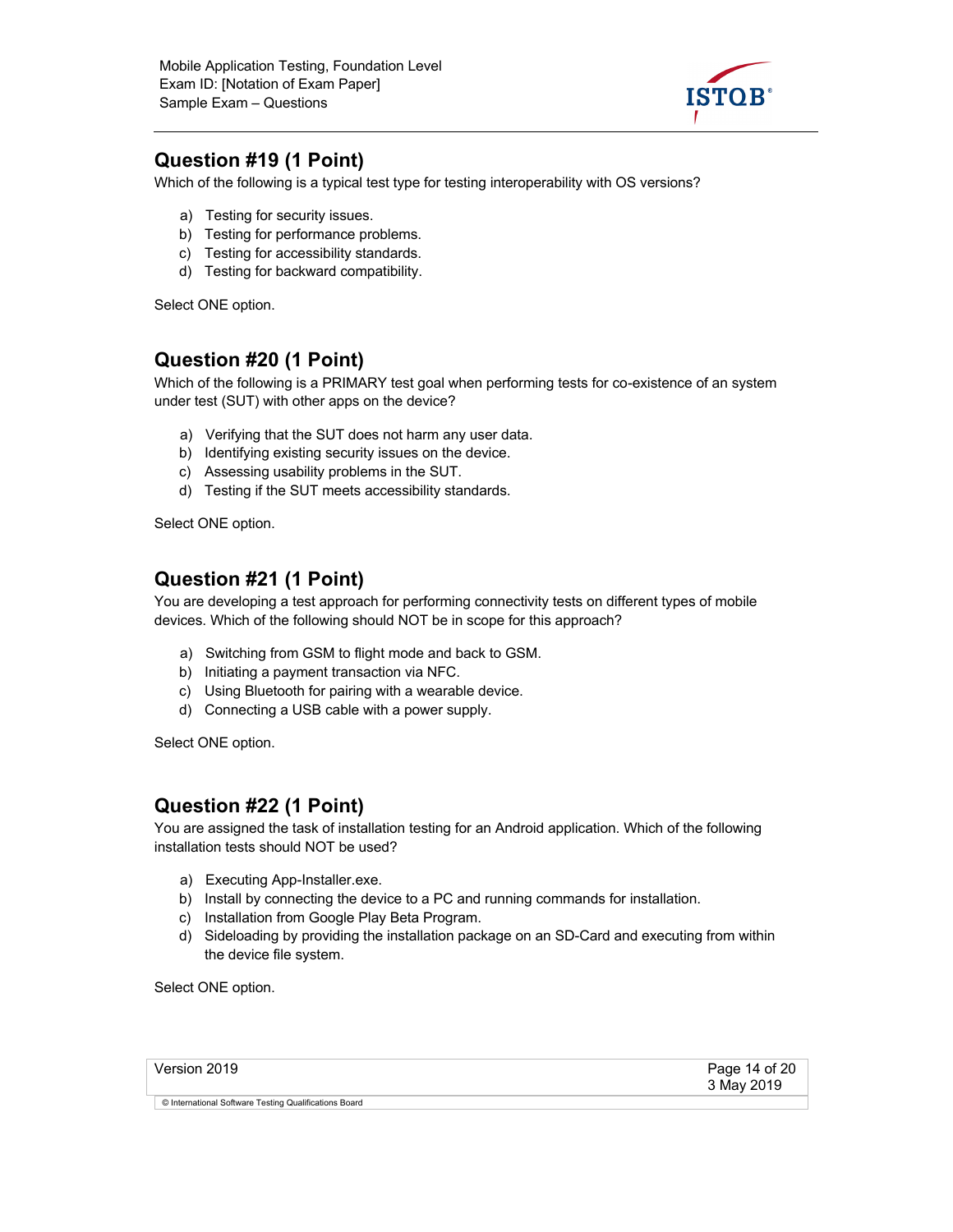

### **Question #19 (1 Point)**

Which of the following is a typical test type for testing interoperability with OS versions?

- a) Testing for security issues.
- b) Testing for performance problems.
- c) Testing for accessibility standards.
- d) Testing for backward compatibility.

Select ONE option.

#### **Question #20 (1 Point)**

Which of the following is a PRIMARY test goal when performing tests for co-existence of an system under test (SUT) with other apps on the device?

- a) Verifying that the SUT does not harm any user data.
- b) Identifying existing security issues on the device.
- c) Assessing usability problems in the SUT.
- d) Testing if the SUT meets accessibility standards.

Select ONE option.

#### **Question #21 (1 Point)**

You are developing a test approach for performing connectivity tests on different types of mobile devices. Which of the following should NOT be in scope for this approach?

- a) Switching from GSM to flight mode and back to GSM.
- b) Initiating a payment transaction via NFC.
- c) Using Bluetooth for pairing with a wearable device.
- d) Connecting a USB cable with a power supply.

Select ONE option.

#### **Question #22 (1 Point)**

You are assigned the task of installation testing for an Android application. Which of the following installation tests should NOT be used?

- a) Executing App-Installer.exe.
- b) Install by connecting the device to a PC and running commands for installation.
- c) Installation from Google Play Beta Program.
- d) Sideloading by providing the installation package on an SD-Card and executing from within the device file system.

| Version 2019                                          | Page 14 of 20<br>3 May 2019 |
|-------------------------------------------------------|-----------------------------|
| © International Software Testing Qualifications Board |                             |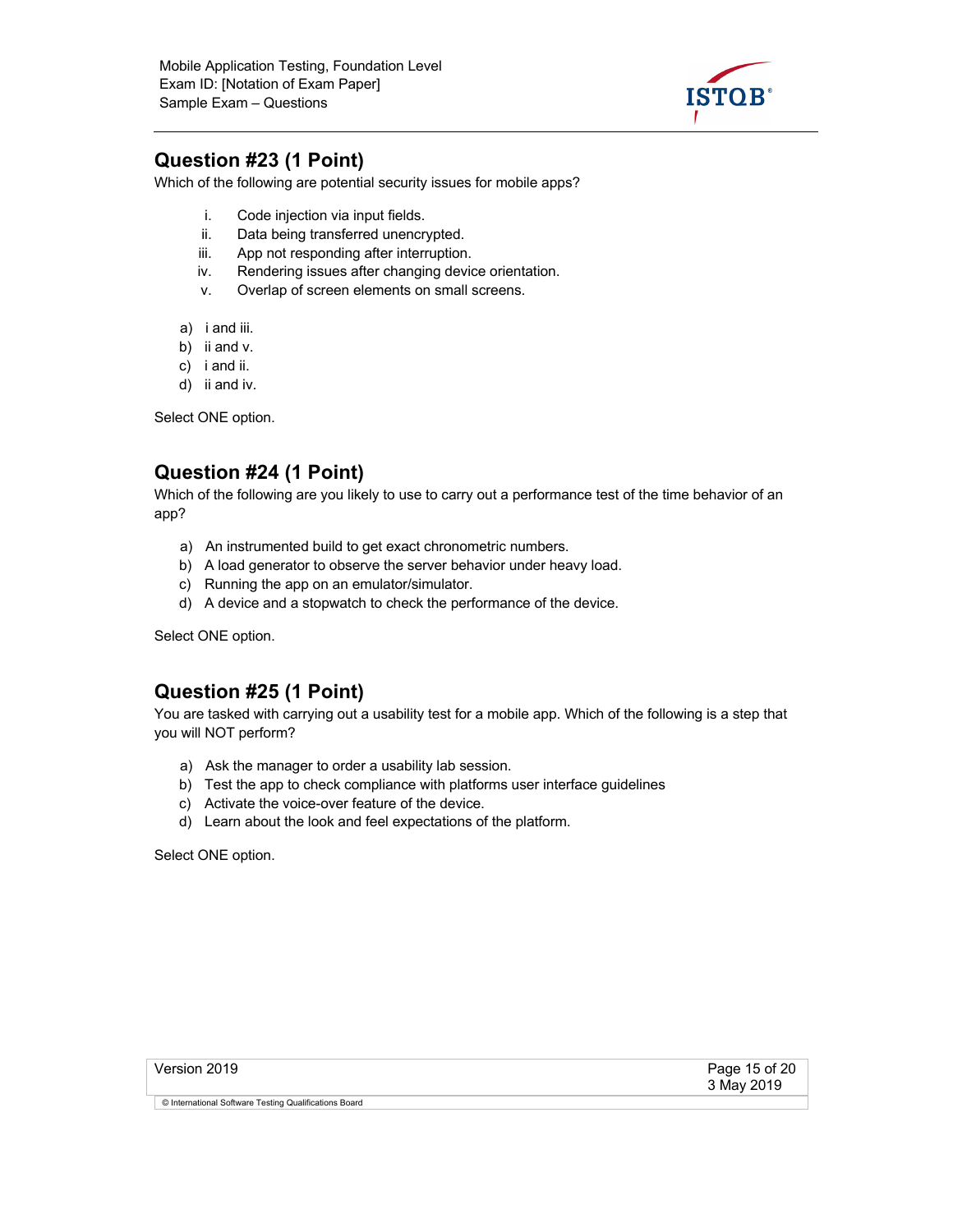

#### **Question #23 (1 Point)**

Which of the following are potential security issues for mobile apps?

- i. Code injection via input fields.
- ii. Data being transferred unencrypted.
- iii. App not responding after interruption.
- iv. Rendering issues after changing device orientation.
- v. Overlap of screen elements on small screens.
- a) i and iii.
- b) ii and v.
- c) i and ii.
- d) ii and iv.

Select ONE option.

## **Question #24 (1 Point)**

Which of the following are you likely to use to carry out a performance test of the time behavior of an app?

- a) An instrumented build to get exact chronometric numbers.
- b) A load generator to observe the server behavior under heavy load.
- c) Running the app on an emulator/simulator.
- d) A device and a stopwatch to check the performance of the device.

Select ONE option.

#### **Question #25 (1 Point)**

You are tasked with carrying out a usability test for a mobile app. Which of the following is a step that you will NOT perform?

- a) Ask the manager to order a usability lab session.
- b) Test the app to check compliance with platforms user interface guidelines
- c) Activate the voice-over feature of the device.
- d) Learn about the look and feel expectations of the platform.

| Version 2019                                          | Page 15 of 20<br>3 May 2019 |
|-------------------------------------------------------|-----------------------------|
| © International Software Testing Qualifications Board |                             |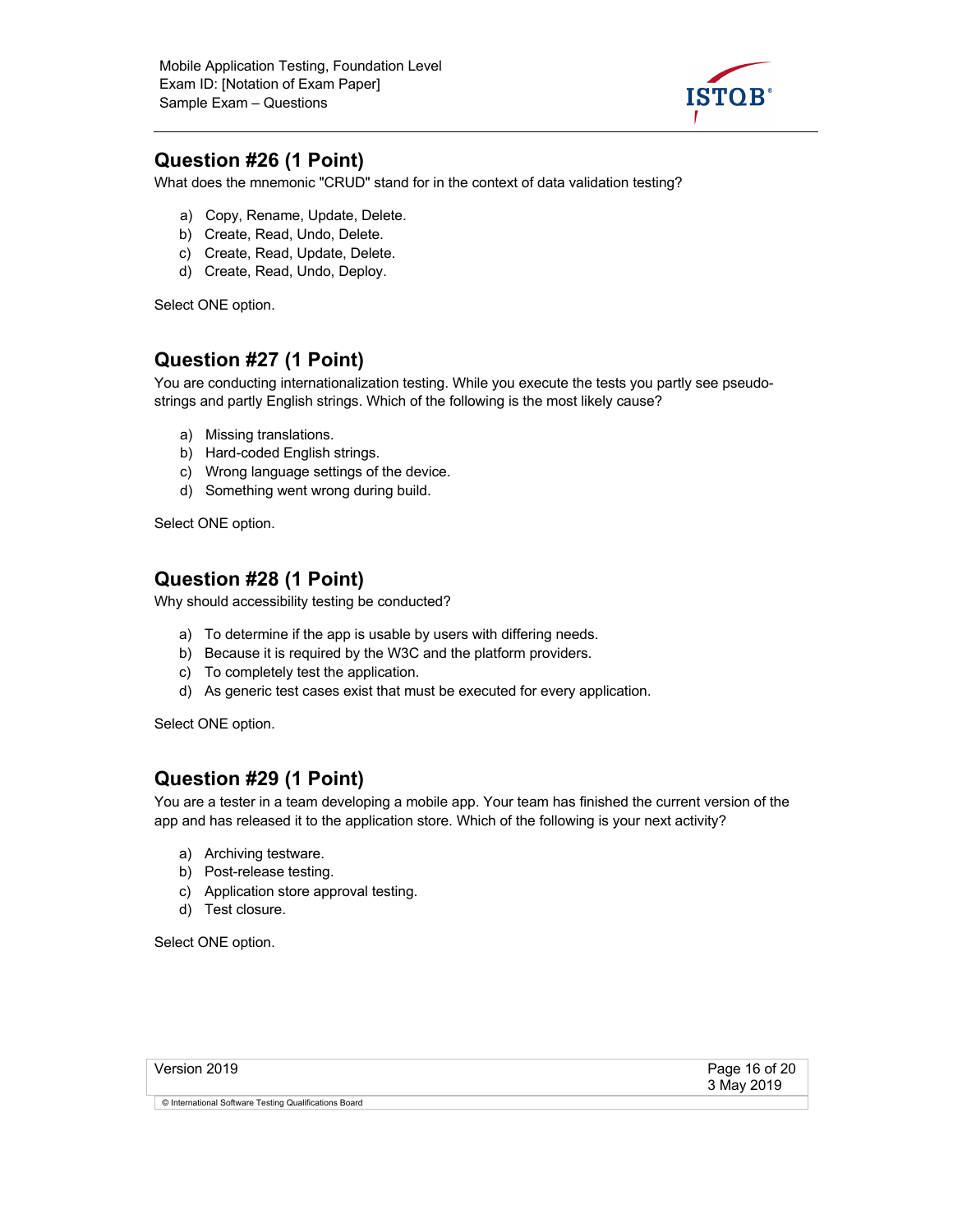

#### **Question #26 (1 Point)**

What does the mnemonic "CRUD" stand for in the context of data validation testing?

- a) Copy, Rename, Update, Delete.
- b) Create, Read, Undo, Delete.
- c) Create, Read, Update, Delete.
- d) Create, Read, Undo, Deploy.

Select ONE option.

#### **Question #27 (1 Point)**

You are conducting internationalization testing. While you execute the tests you partly see pseudostrings and partly English strings. Which of the following is the most likely cause?

- a) Missing translations.
- b) Hard-coded English strings.
- c) Wrong language settings of the device.
- d) Something went wrong during build.

Select ONE option.

#### **Question #28 (1 Point)**

Why should accessibility testing be conducted?

- a) To determine if the app is usable by users with differing needs.
- b) Because it is required by the W3C and the platform providers.
- c) To completely test the application.
- d) As generic test cases exist that must be executed for every application.

Select ONE option.

#### **Question #29 (1 Point)**

You are a tester in a team developing a mobile app. Your team has finished the current version of the app and has released it to the application store. Which of the following is your next activity?

- a) Archiving testware.
- b) Post-release testing.
- c) Application store approval testing.
- d) Test closure.

| Version 2019                                          | Page 16 of 20<br>3 May 2019 |
|-------------------------------------------------------|-----------------------------|
| © International Software Testing Qualifications Board |                             |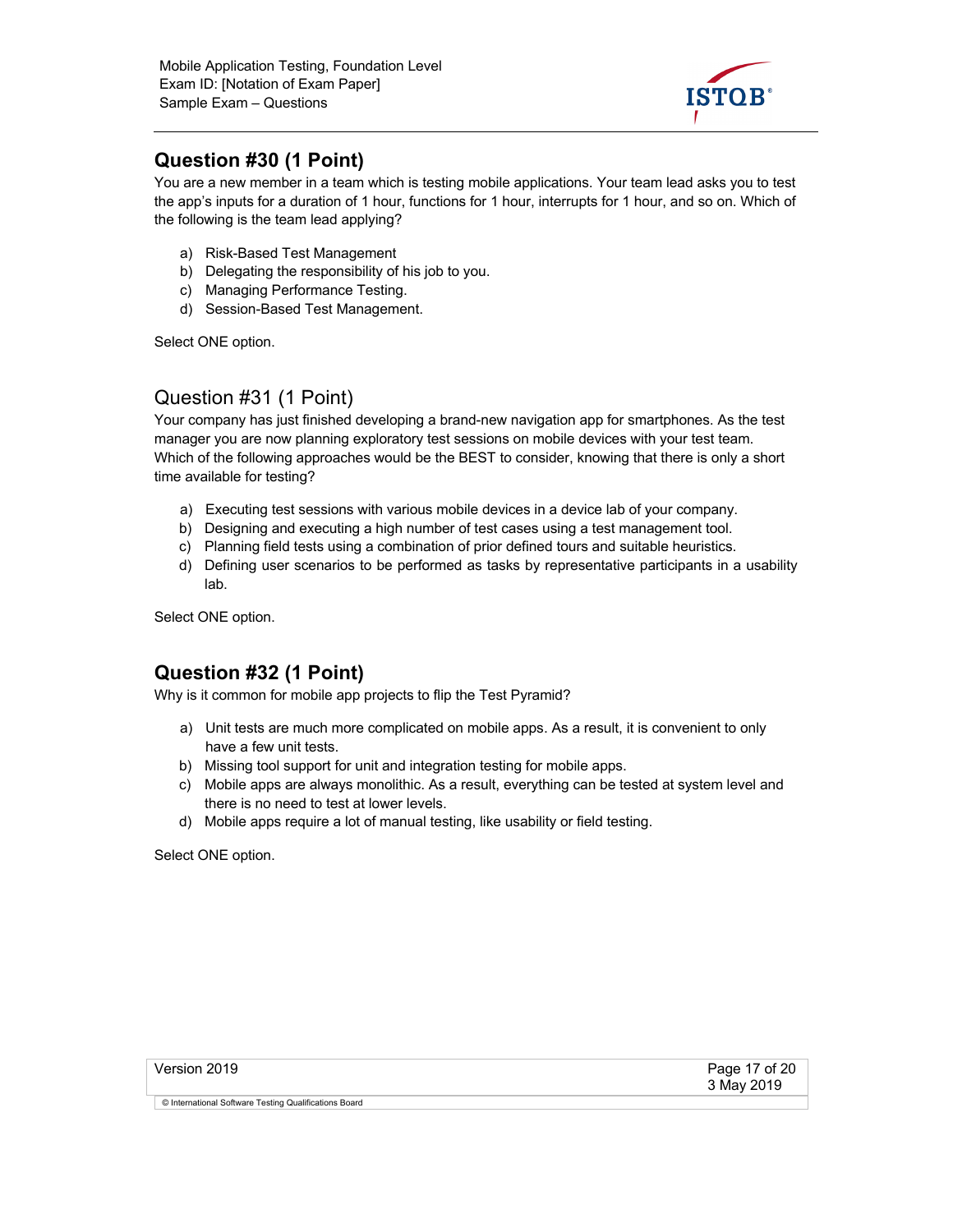

## **Question #30 (1 Point)**

You are a new member in a team which is testing mobile applications. Your team lead asks you to test the app's inputs for a duration of 1 hour, functions for 1 hour, interrupts for 1 hour, and so on. Which of the following is the team lead applying?

- a) Risk-Based Test Management
- b) Delegating the responsibility of his job to you.
- c) Managing Performance Testing.
- d) Session-Based Test Management.

Select ONE option.

#### Question #31 (1 Point)

Your company has just finished developing a brand-new navigation app for smartphones. As the test manager you are now planning exploratory test sessions on mobile devices with your test team. Which of the following approaches would be the BEST to consider, knowing that there is only a short time available for testing?

- a) Executing test sessions with various mobile devices in a device lab of your company.
- b) Designing and executing a high number of test cases using a test management tool.
- c) Planning field tests using a combination of prior defined tours and suitable heuristics.
- d) Defining user scenarios to be performed as tasks by representative participants in a usability lab.

Select ONE option.

#### **Question #32 (1 Point)**

Why is it common for mobile app projects to flip the Test Pyramid?

- a) Unit tests are much more complicated on mobile apps. As a result, it is convenient to only have a few unit tests.
- b) Missing tool support for unit and integration testing for mobile apps.
- c) Mobile apps are always monolithic. As a result, everything can be tested at system level and there is no need to test at lower levels.
- d) Mobile apps require a lot of manual testing, like usability or field testing.

| Version 2019                                          | Page 17 of 20<br>3 May 2019 |
|-------------------------------------------------------|-----------------------------|
| © International Software Testing Qualifications Board |                             |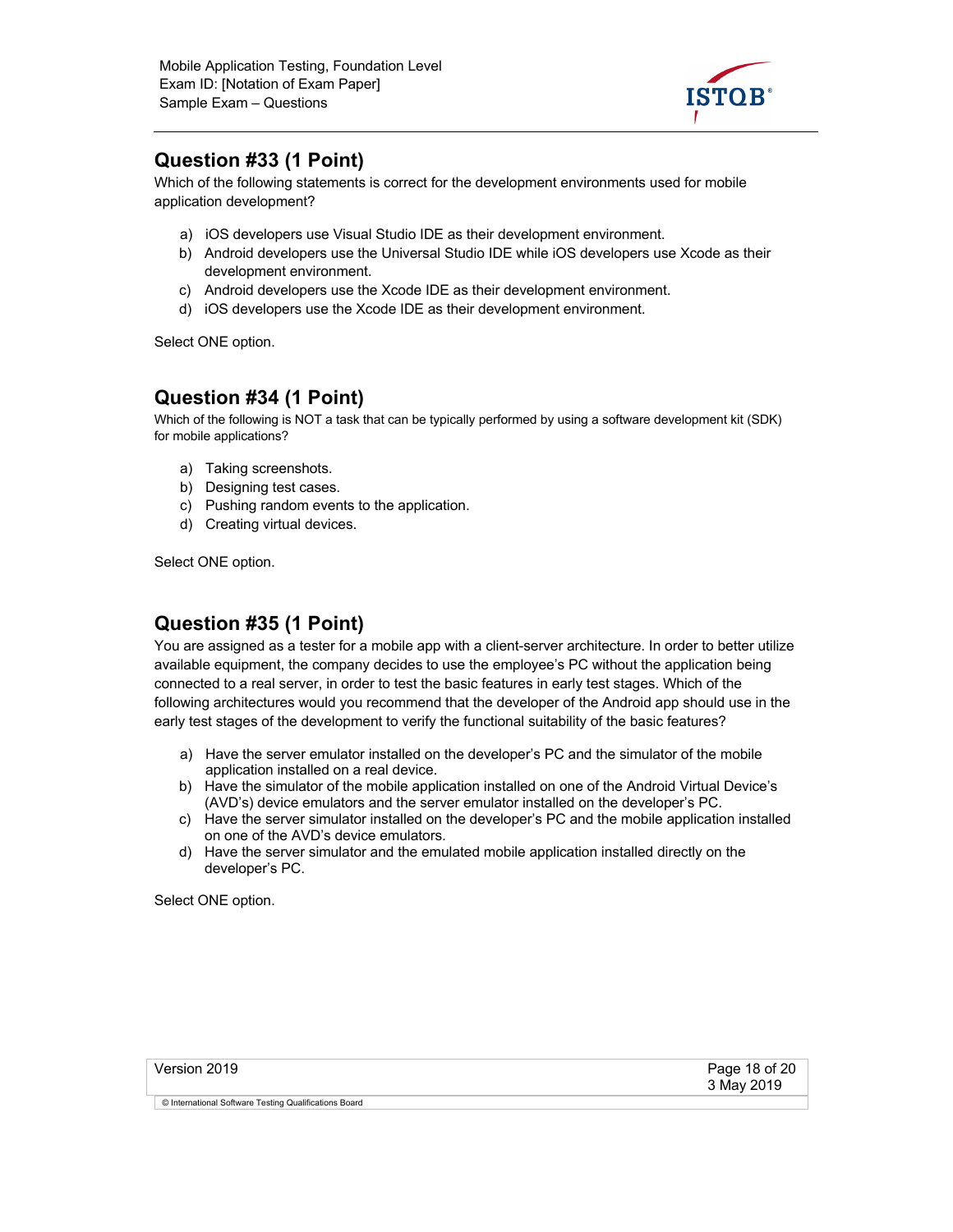

#### **Question #33 (1 Point)**

Which of the following statements is correct for the development environments used for mobile application development?

- a) iOS developers use Visual Studio IDE as their development environment.
- b) Android developers use the Universal Studio IDE while iOS developers use Xcode as their development environment.
- c) Android developers use the Xcode IDE as their development environment.
- d) iOS developers use the Xcode IDE as their development environment.

Select ONE option.

#### **Question #34 (1 Point)**

Which of the following is NOT a task that can be typically performed by using a software development kit (SDK) for mobile applications?

- a) Taking screenshots.
- b) Designing test cases.
- c) Pushing random events to the application.
- d) Creating virtual devices.

Select ONE option.

### **Question #35 (1 Point)**

You are assigned as a tester for a mobile app with a client-server architecture. In order to better utilize available equipment, the company decides to use the employee's PC without the application being connected to a real server, in order to test the basic features in early test stages. Which of the following architectures would you recommend that the developer of the Android app should use in the early test stages of the development to verify the functional suitability of the basic features?

- a) Have the server emulator installed on the developer's PC and the simulator of the mobile application installed on a real device.
- b) Have the simulator of the mobile application installed on one of the Android Virtual Device's (AVD's) device emulators and the server emulator installed on the developer's PC.
- c) Have the server simulator installed on the developer's PC and the mobile application installed on one of the AVD's device emulators.
- d) Have the server simulator and the emulated mobile application installed directly on the developer's PC.

| Version 2019                                          | Page 18 of 20<br>3 May 2019 |
|-------------------------------------------------------|-----------------------------|
| © International Software Testing Qualifications Board |                             |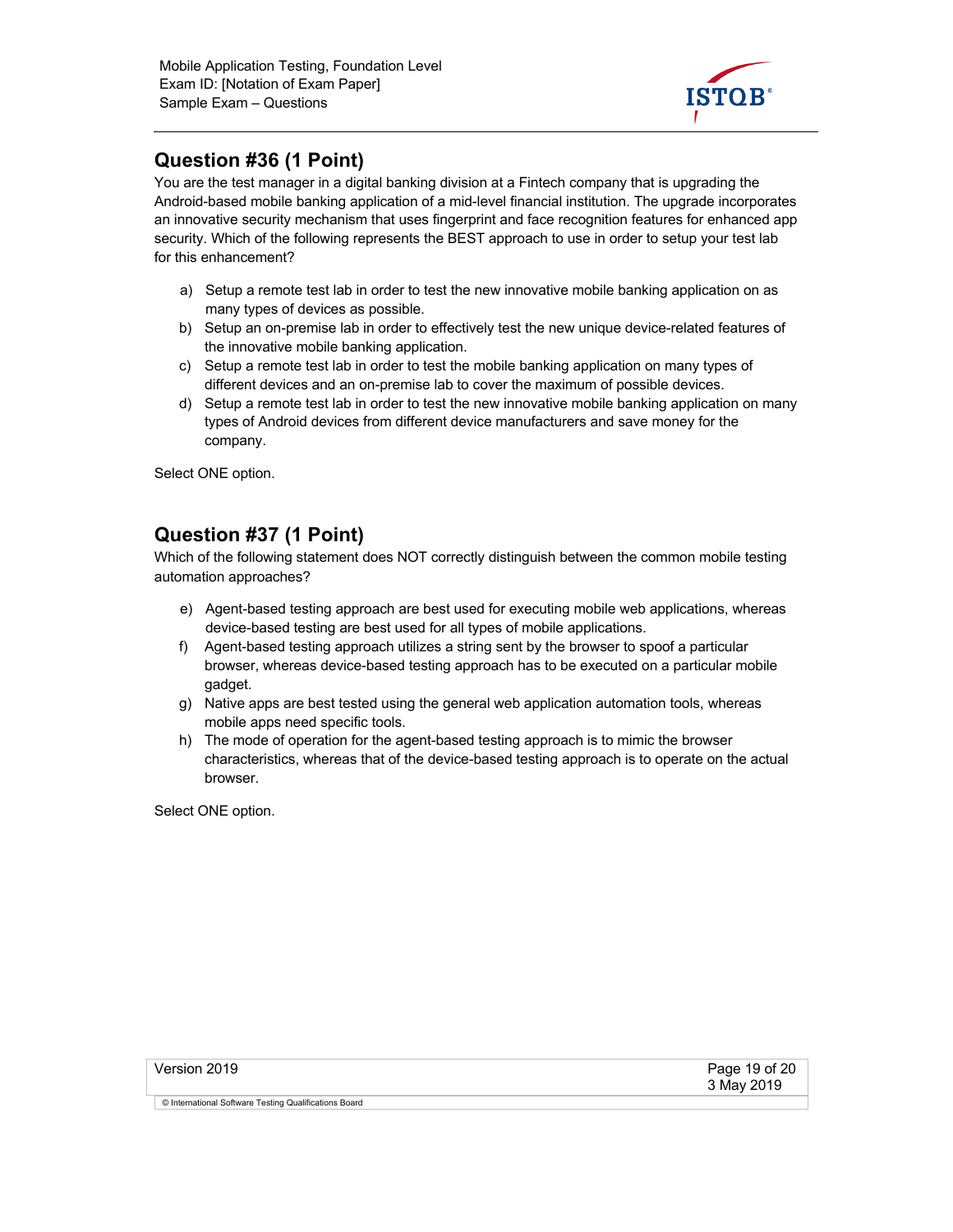

## **Question #36 (1 Point)**

You are the test manager in a digital banking division at a Fintech company that is upgrading the Android-based mobile banking application of a mid-level financial institution. The upgrade incorporates an innovative security mechanism that uses fingerprint and face recognition features for enhanced app security. Which of the following represents the BEST approach to use in order to setup your test lab for this enhancement?

- a) Setup a remote test lab in order to test the new innovative mobile banking application on as many types of devices as possible.
- b) Setup an on-premise lab in order to effectively test the new unique device-related features of the innovative mobile banking application.
- c) Setup a remote test lab in order to test the mobile banking application on many types of different devices and an on-premise lab to cover the maximum of possible devices.
- d) Setup a remote test lab in order to test the new innovative mobile banking application on many types of Android devices from different device manufacturers and save money for the company.

Select ONE option.

#### **Question #37 (1 Point)**

Which of the following statement does NOT correctly distinguish between the common mobile testing automation approaches?

- e) Agent-based testing approach are best used for executing mobile web applications, whereas device-based testing are best used for all types of mobile applications.
- f) Agent-based testing approach utilizes a string sent by the browser to spoof a particular browser, whereas device-based testing approach has to be executed on a particular mobile gadget.
- g) Native apps are best tested using the general web application automation tools, whereas mobile apps need specific tools.
- h) The mode of operation for the agent-based testing approach is to mimic the browser characteristics, whereas that of the device-based testing approach is to operate on the actual browser.

| Version 2019                                          | Page 19 of 20<br>3 May 2019 |
|-------------------------------------------------------|-----------------------------|
| © International Software Testing Qualifications Board |                             |